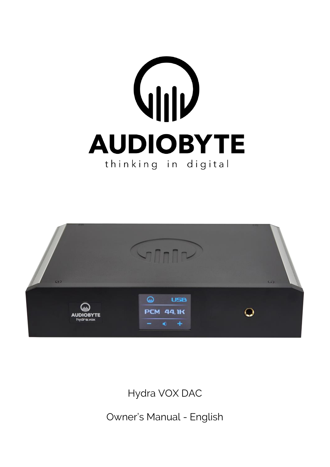# **AUDIOBYTE** thinking in digital



Hydra VOX DAC

Owner's Manual - English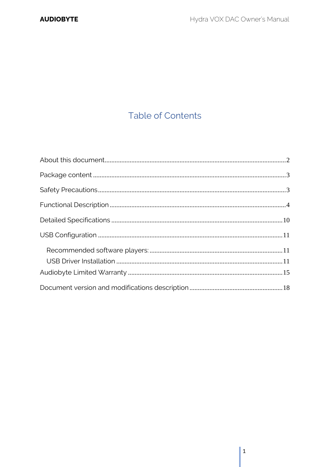# **Table of Contents**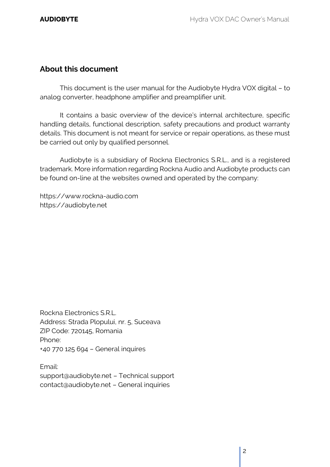### <span id="page-2-0"></span>**About this document**

This document is the user manual for the Audiobyte Hydra VOX digital – to analog converter, headphone amplifier and preamplifier unit.

It contains a basic overview of the device's internal architecture, specific handling details, functional description, safety precautions and product warranty details. This document is not meant for service or repair operations, as these must be carried out only by qualified personnel.

Audiobyte is a subsidiary of Rockna Electronics S.R.L., and is a registered trademark. More information regarding Rockna Audio and Audiobyte products can be found on-line at the websites owned and operated by the company:

https://www.rockna-audio.com https://audiobyte.net

Rockna Electronics S.R.L. Address: Strada Plopului, nr. 5, Suceava ZIP Code: 720145, Romania Phone: +40 770 125 694 – General inquires

Email: support@audiobyte.net – Technical support contact@audiobyte.net – General inquiries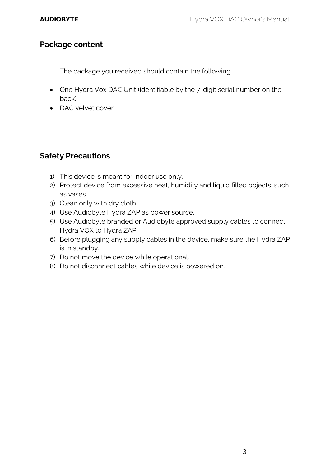### <span id="page-3-0"></span>**Package content**

The package you received should contain the following:

- One Hydra Vox DAC Unit (identifiable by the 7-digit serial number on the back);
- DAC velvet cover.

## <span id="page-3-1"></span>**Safety Precautions**

- 1) This device is meant for indoor use only.
- 2) Protect device from excessive heat, humidity and liquid filled objects, such as vases.
- 3) Clean only with dry cloth.
- 4) Use Audiobyte Hydra ZAP as power source.
- 5) Use Audiobyte branded or Audiobyte approved supply cables to connect Hydra VOX to Hydra ZAP;
- 6) Before plugging any supply cables in the device, make sure the Hydra ZAP is in standby.
- 7) Do not move the device while operational.
- 8) Do not disconnect cables while device is powered on.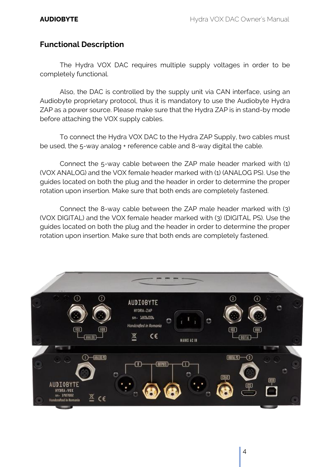#### <span id="page-4-0"></span>**Functional Description**

The Hydra VOX DAC requires multiple supply voltages in order to be completely functional.

Also, the DAC is controlled by the supply unit via CAN interface, using an Audiobyte proprietary protocol, thus it is mandatory to use the Audiobyte Hydra ZAP as a power source. Please make sure that the Hydra ZAP is in stand-by mode before attaching the VOX supply cables.

To connect the Hydra VOX DAC to the Hydra ZAP Supply, two cables must be used, the 5-way analog + reference cable and 8-way digital the cable.

Connect the 5-way cable between the ZAP male header marked with (1) (VOX ANALOG) and the VOX female header marked with (1) (ANALOG PS). Use the guides located on both the plug and the header in order to determine the proper rotation upon insertion. Make sure that both ends are completely fastened.

Connect the 8-way cable between the ZAP male header marked with (3) (VOX DIGITAL) and the VOX female header marked with (3) (DIGITAL PS). Use the guides located on both the plug and the header in order to determine the proper rotation upon insertion. Make sure that both ends are completely fastened.

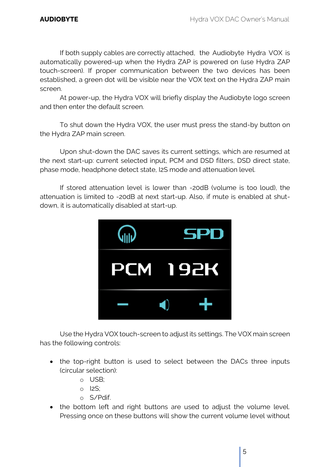If both supply cables are correctly attached, the Audiobyte Hydra VOX is automatically powered-up when the Hydra ZAP is powered on (use Hydra ZAP touch-screen). If proper communication between the two devices has been established, a green dot will be visible near the VOX text on the Hydra ZAP main screen.

At power-up, the Hydra VOX will briefly display the Audiobyte logo screen and then enter the default screen.

To shut down the Hydra VOX, the user must press the stand-by button on the Hydra ZAP main screen.

Upon shut-down the DAC saves its current settings, which are resumed at the next start-up: current selected input, PCM and DSD filters, DSD direct state, phase mode, headphone detect state, I2S mode and attenuation level.

If stored attenuation level is lower than -20dB (volume is too loud), the attenuation is limited to -20dB at next start-up. Also, if mute is enabled at shutdown, it is automatically disabled at start-up.



Use the Hydra VOX touch-screen to adjust its settings. The VOX main screen has the following controls:

- the top-right button is used to select between the DACs three inputs (circular selection):
	- o USB;
	- o I2S;
	- o S/Pdif.
- the bottom left and right buttons are used to adjust the volume level. Pressing once on these buttons will show the current volume level without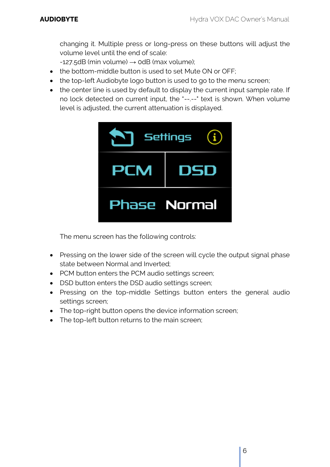changing it. Multiple press or long-press on these buttons will adjust the volume level until the end of scale:

 $-127.5dB$  (min volume)  $\rightarrow$  0dB (max volume);

- the bottom-middle button is used to set Mute ON or OFF;
- the top-left Audiobyte logo button is used to go to the menu screen;
- the center line is used by default to display the current input sample rate. If no lock detected on current input, the "--.--" text is shown. When volume level is adjusted, the current attenuation is displayed.



The menu screen has the following controls:

- Pressing on the lower side of the screen will cycle the output signal phase state between Normal and Inverted;
- PCM button enters the PCM audio settings screen;
- DSD button enters the DSD audio settings screen;
- Pressing on the top-middle Settings button enters the general audio settings screen;
- The top-right button opens the device information screen;
- The top-left button returns to the main screen;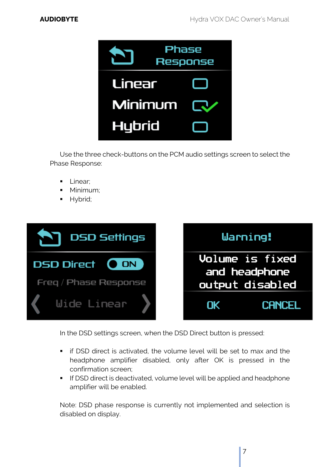

Use the three check-buttons on the PCM audio settings screen to select the Phase Response:

- **•** Linear:
- Minimum:
- **■** Hybrid;



In the DSD settings screen, when the DSD Direct button is pressed:

- **•** if DSD direct is activated, the volume level will be set to max and the headphone amplifier disabled, only after OK is pressed in the confirmation screen;
- **If DSD direct is deactivated, volume level will be applied and headphone** amplifier will be enabled.

Note: DSD phase response is currently not implemented and selection is disabled on display.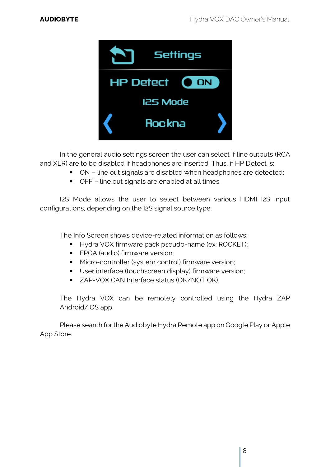

In the general audio settings screen the user can select if line outputs (RCA and XLR) are to be disabled if headphones are inserted. Thus, if HP Detect is:

- ON line out signals are disabled when headphones are detected;
- OFF line out signals are enabled at all times.

I2S Mode allows the user to select between various HDMI I2S input configurations, depending on the I2S signal source type.

The Info Screen shows device-related information as follows:

- Hydra VOX firmware pack pseudo-name (ex: ROCKET);
- **•** FPGA (audio) firmware version;
- Micro-controller (system control) firmware version;
- **■** User interface (touchscreen display) firmware version;
- ZAP-VOX CAN Interface status (OK/NOT OK).

The Hydra VOX can be remotely controlled using the Hydra ZAP Android/iOS app.

Please search for the Audiobyte Hydra Remote app on Google Play or Apple App Store.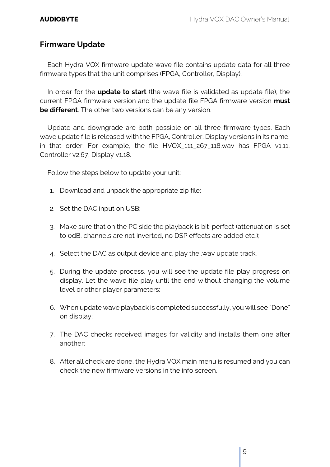#### **Firmware Update**

Each Hydra VOX firmware update wave file contains update data for all three firmware types that the unit comprises (FPGA, Controller, Display).

In order for the **update to start** (the wave file is validated as update file), the current FPGA firmware version and the update file FPGA firmware version **must be different**. The other two versions can be any version.

Update and downgrade are both possible on all three firmware types. Each wave update file is released with the FPGA, Controller, Display versions in its name, in that order. For example, the file HVOX\_111\_267\_118.wav has FPGA v1.11, Controller v2.67, Display v1.18.

Follow the steps below to update your unit:

- 1. Download and unpack the appropriate zip file;
- 2. Set the DAC input on USB;
- 3. Make sure that on the PC side the playback is bit-perfect (attenuation is set to 0dB, channels are not inverted, no DSP effects are added etc.);
- 4. Select the DAC as output device and play the .wav update track;
- 5. During the update process, you will see the update file play progress on display. Let the wave file play until the end without changing the volume level or other player parameters;
- 6. When update wave playback is completed successfully, you will see "Done" on display;
- 7. The DAC checks received images for validity and installs them one after another;
- 8. After all check are done, the Hydra VOX main menu is resumed and you can check the new firmware versions in the info screen.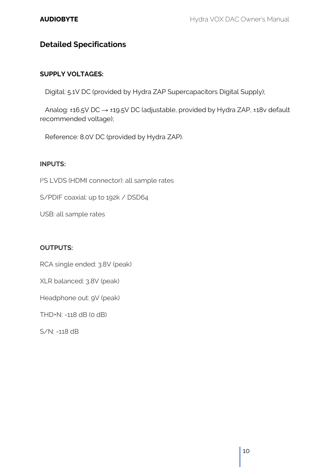## <span id="page-10-0"></span>**Detailed Specifications**

#### **SUPPLY VOLTAGES:**

Digital: 5.1V DC (provided by Hydra ZAP Supercapacitors Digital Supply);

 Analog: ±16.5V DC → ±19.5V DC (adjustable, provided by Hydra ZAP, ±18v default recommended voltage);

Reference: 8.0V DC (provided by Hydra ZAP).

#### **INPUTS:**

I <sup>2</sup>S LVDS (HDMI connector): all sample rates

S/PDIF coaxial: up to 192k / DSD64

USB: all sample rates

#### **OUTPUTS:**

RCA single ended: 3.8V (peak)

XLR balanced: 3.8V (peak)

Headphone out: 9V (peak)

THD+N: -118 dB (0 dB)

S/N: -118 dB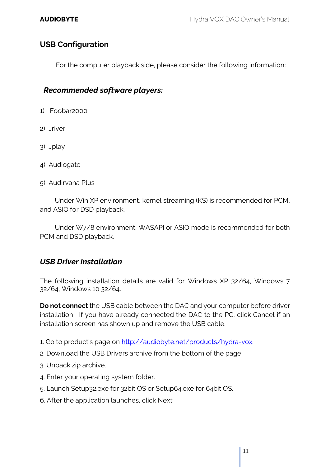### <span id="page-11-0"></span>**USB Configuration**

For the computer playback side, please consider the following information:

#### <span id="page-11-1"></span> *Recommended software players:*

- 1) Foobar2000
- 2) Jriver
- 3) Jplay
- 4) Audiogate
- 5) Audirvana Plus

Under Win XP environment, kernel streaming (KS) is recommended for PCM, and ASIO for DSD playback.

Under W7/8 environment, WASAPI or ASIO mode is recommended for both PCM and DSD playback.

#### <span id="page-11-2"></span>*USB Driver Installation*

The following installation details are valid for Windows XP 32/64, Windows 7 32/64, Windows 10 32/64.

**Do not connect** the USB cable between the DAC and your computer before driver installation! If you have already connected the DAC to the PC, click Cancel if an installation screen has shown up and remove the USB cable.

- 1. Go to product's page on [http://audiobyte.net/products/hydra-vox.](http://audiobyte.net/products/hydra-vox)
- 2. Download the USB Drivers archive from the bottom of the page.
- 3. Unpack zip archive.
- 4. Enter your operating system folder.
- 5. Launch Setup32.exe for 32bit OS or Setup64.exe for 64bit OS.
- 6. After the application launches, click Next: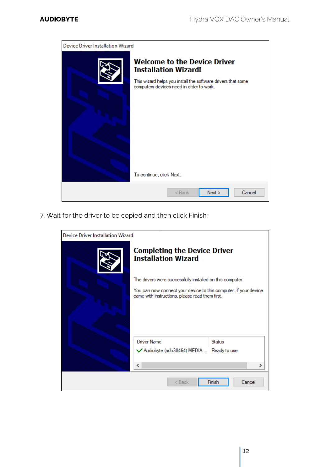

7. Wait for the driver to be copied and then click Finish:

| Device Driver Installation Wizard |                                                                                                                     |
|-----------------------------------|---------------------------------------------------------------------------------------------------------------------|
|                                   | <b>Completing the Device Driver</b><br><b>Installation Wizard</b>                                                   |
|                                   | The drivers were successfully installed on this computer.                                                           |
|                                   | You can now connect your device to this computer. If your device<br>came with instructions, please read them first. |
|                                   | <b>Driver Name</b><br><b>Status</b>                                                                                 |
|                                   | Audiobyte (adb38464) MEDIA  Ready to use<br>∢                                                                       |
|                                   | Finish<br>Cancel<br>< Back                                                                                          |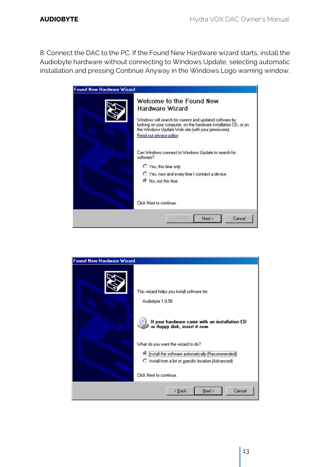8. Connect the DAC to the PC. If the Found New Hardware wizard starts, install the Audiobyte hardware without connecting to Windows Update, selecting automatic installation and pressing Continue Anyway in the Windows Logo warning window.



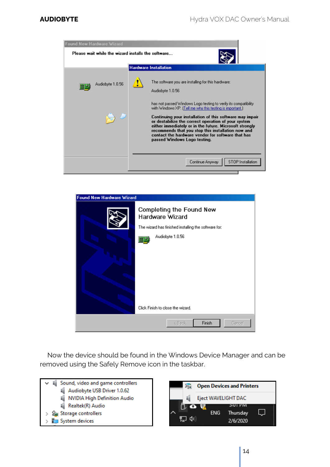![](_page_14_Picture_2.jpeg)

| <b>Found New Hardware Wizard</b> |                                                                                                                         |
|----------------------------------|-------------------------------------------------------------------------------------------------------------------------|
|                                  | Completing the Found New<br>Hardware Wizard<br>The wizard has finished installing the software for:<br>Audiobyte 1.0.56 |
|                                  | Click Finish to close the wizard.                                                                                       |
|                                  | Finish<br>< Back<br>Cancel                                                                                              |

Now the device should be found in the Windows Device Manager and can be removed using the Safely Remove icon in the taskbar.

![](_page_14_Figure_5.jpeg)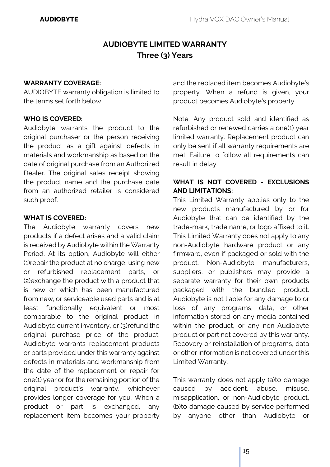# **AUDIOBYTE LIMITED WARRANTY Three (3) Years**

#### <span id="page-15-0"></span>**WARRANTY COVERAGE:**

AUDIOBYTE warranty obligation is limited to the terms set forth below.

#### **WHO IS COVERED:**

Audiobyte warrants the product to the original purchaser or the person receiving the product as a gift against defects in materials and workmanship as based on the date of original purchase from an Authorized Dealer. The original sales receipt showing the product name and the purchase date from an authorized retailer is considered such proof.

#### **WHAT IS COVERED:**

The Audiobyte warranty covers new products if a defect arises and a valid claim is received by Audiobyte within the Warranty Period. At its option, Audiobyte will either (1)repair the product at no charge, using new or refurbished replacement parts, or (2)exchange the product with a product that is new or which has been manufactured from new, or serviceable used parts and is at least functionally equivalent or most comparable to the original product in Audiobyte current inventory, or (3)refund the original purchase price of the product. Audiobyte warrants replacement products or parts provided under this warranty against defects in materials and workmanship from the date of the replacement or repair for one(1) year or for the remaining portion of the original product's warranty, whichever provides longer coverage for you. When a product or part is exchanged, any replacement item becomes your property

and the replaced item becomes Audiobyte's property. When a refund is given, your product becomes Audiobyte's property.

Note: Any product sold and identified as refurbished or renewed carries a one(1) year limited warranty. Replacement product can only be sent if all warranty requirements are met. Failure to follow all requirements can result in delay.

#### **WHAT IS NOT COVERED - EXCLUSIONS AND LIMITATIONS:**

This Limited Warranty applies only to the new products manufactured by or for Audiobyte that can be identified by the trade-mark, trade name, or logo affixed to it. This Limited Warranty does not apply to any non-Audiobyte hardware product or any firmware, even if packaged or sold with the product. Non-Audiobyte manufacturers, suppliers, or publishers may provide a separate warranty for their own products packaged with the bundled product. Audiobyte is not liable for any damage to or loss of any programs, data, or other information stored on any media contained within the product, or any non-Audiobyte product or part not covered by this warranty. Recovery or reinstallation of programs, data or other information is not covered under this Limited Warranty.

This warranty does not apply (a)to damage caused by accident, abuse, misuse, misapplication, or non-Audiobyte product, (b)to damage caused by service performed by anyone other than Audiobyte or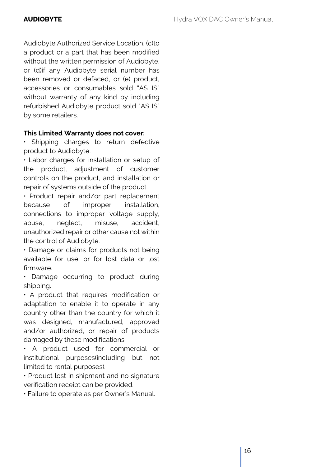Audiobyte Authorized Service Location, (c)to a product or a part that has been modified without the written permission of Audiobyte, or (d)if any Audiobyte serial number has been removed or defaced, or (e) product, accessories or consumables sold "AS IS" without warranty of any kind by including refurbished Audiobyte product sold "AS IS" by some retailers.

#### **This Limited Warranty does not cover:**

• Shipping charges to return defective product to Audiobyte.

• Labor charges for installation or setup of the product, adjustment of customer controls on the product, and installation or repair of systems outside of the product.

• Product repair and/or part replacement because of improper installation, connections to improper voltage supply, abuse, neglect, misuse, accident, unauthorized repair or other cause not within the control of Audiobyte.

• Damage or claims for products not being available for use, or for lost data or lost firmware.

• Damage occurring to product during shipping.

• A product that requires modification or adaptation to enable it to operate in any country other than the country for which it was designed, manufactured, approved and/or authorized, or repair of products damaged by these modifications.

• A product used for commercial or institutional purposes(including but not limited to rental purposes).

• Product lost in shipment and no signature verification receipt can be provided.

• Failure to operate as per Owner's Manual.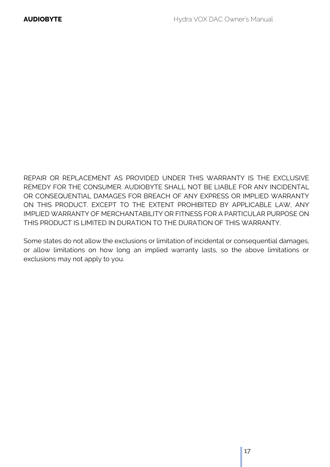REPAIR OR REPLACEMENT AS PROVIDED UNDER THIS WARRANTY IS THE EXCLUSIVE REMEDY FOR THE CONSUMER. AUDIOBYTE SHALL NOT BE LIABLE FOR ANY INCIDENTAL OR CONSEQUENTIAL DAMAGES FOR BREACH OF ANY EXPRESS OR IMPLIED WARRANTY ON THIS PRODUCT. EXCEPT TO THE EXTENT PROHIBITED BY APPLICABLE LAW, ANY IMPLIED WARRANTY OF MERCHANTABILITY OR FITNESS FOR A PARTICULAR PURPOSE ON THIS PRODUCT IS LIMITED IN DURATION TO THE DURATION OF THIS WARRANTY.

Some states do not allow the exclusions or limitation of incidental or consequential damages, or allow limitations on how long an implied warranty lasts, so the above limitations or exclusions may not apply to you.